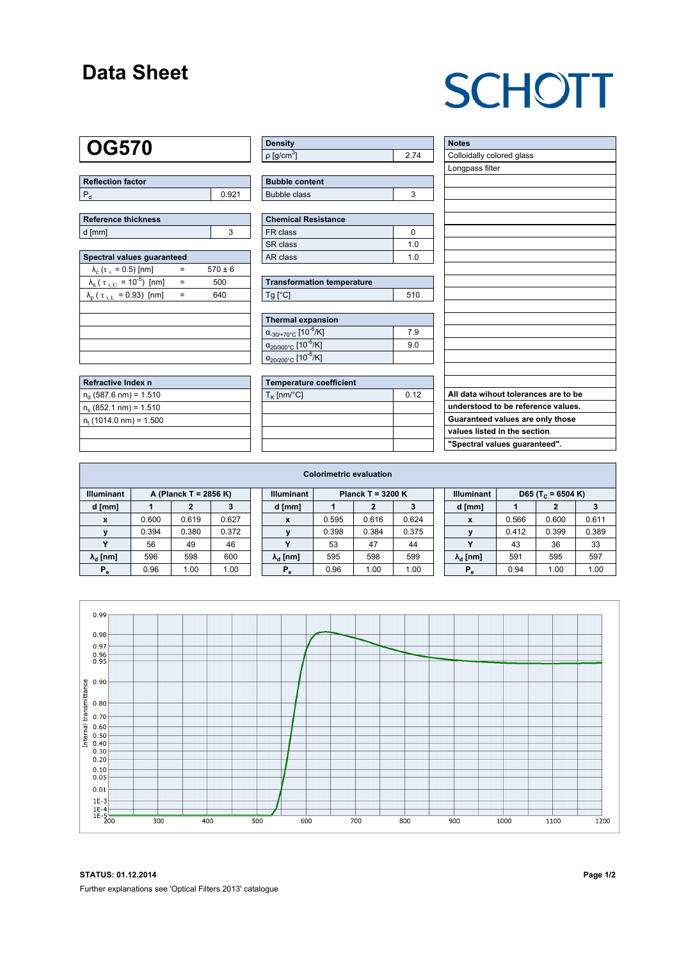### **Data Sheet**

# **SCHOTT**

### **OG570**

| Reflection factor |  |  |  |  |  |  |
|-------------------|--|--|--|--|--|--|
|                   |  |  |  |  |  |  |

| Reference thickness |  |  |  |  |  |  |  |
|---------------------|--|--|--|--|--|--|--|
| d [mm]              |  |  |  |  |  |  |  |

| Spectral values quaranteed                                      |     |             |  |  |  |  |  |  |  |
|-----------------------------------------------------------------|-----|-------------|--|--|--|--|--|--|--|
| $\lambda_c$ ( $\tau_i$ = 0.5) [nm]                              |     | $570 \pm 6$ |  |  |  |  |  |  |  |
| $\lambda_{\rm s}$ ( $\tau_{\rm i, U}$ = 10 <sup>-5</sup> ) [nm] |     | 500         |  |  |  |  |  |  |  |
| $\lambda_{\rm p}$ ( $\tau_{\rm i, L}$ = 0.93) [nm]              | $=$ | 640         |  |  |  |  |  |  |  |
|                                                                 |     |             |  |  |  |  |  |  |  |
|                                                                 |     |             |  |  |  |  |  |  |  |
|                                                                 |     |             |  |  |  |  |  |  |  |
|                                                                 |     |             |  |  |  |  |  |  |  |
|                                                                 |     |             |  |  |  |  |  |  |  |

| Refractive Index n              |  |
|---------------------------------|--|
| $n_{d}$ (587.6 nm) = 1.510      |  |
| $n_s$ (852.1 nm) = 1.510        |  |
| $n_{\rm t}$ (1014.0 nm) = 1.500 |  |
|                                 |  |

| <b>Density</b>              |  |
|-----------------------------|--|
| $\rho$ [g/cm <sup>3</sup> ] |  |

| <b>Bubble content</b> |  |
|-----------------------|--|
| Bubble class          |  |

| <b>Chemical Resistance</b> |     |  |  |  |  |  |
|----------------------------|-----|--|--|--|--|--|
| FR class                   |     |  |  |  |  |  |
| SR class                   | 1 በ |  |  |  |  |  |
| AR class                   | 1 በ |  |  |  |  |  |

| <b>Transformation temperature</b> |     |  |  |  |  |  |
|-----------------------------------|-----|--|--|--|--|--|
| $Ta$ $C1$                         | 510 |  |  |  |  |  |

| Thermal expansion                                 |     |  |  |  |  |  |  |
|---------------------------------------------------|-----|--|--|--|--|--|--|
| $\alpha_{-30/+70\degree}$ c [10 <sup>-6</sup> /K] | 7.9 |  |  |  |  |  |  |
| $\alpha_{20/300^{\circ}C}$ [10 <sup>-6</sup> /K]  | 9.0 |  |  |  |  |  |  |
| $\alpha_{20/200^{\circ}C}$ [10 <sup>-6</sup> /K]  |     |  |  |  |  |  |  |

| Temperature coefficient |      |  |  |  |  |  |  |
|-------------------------|------|--|--|--|--|--|--|
| $T_{\rm K}$ [nm/°C]     | 0.12 |  |  |  |  |  |  |
|                         |      |  |  |  |  |  |  |
|                         |      |  |  |  |  |  |  |
|                         |      |  |  |  |  |  |  |
|                         |      |  |  |  |  |  |  |

| <b>Notes</b>                         |
|--------------------------------------|
| Colloidally colored glass            |
| Longpass filter                      |
|                                      |
|                                      |
|                                      |
|                                      |
|                                      |
|                                      |
|                                      |
|                                      |
|                                      |
|                                      |
|                                      |
|                                      |
|                                      |
|                                      |
|                                      |
|                                      |
|                                      |
| All data wihout tolerances are to be |
| understood to be reference values.   |
| Guaranteed values are only those     |
| values listed in the section         |
| "Spectral values guaranteed".        |

| <b>Colorimetric evaluation</b>             |       |       |       |                                          |                        |       |       |       |                   |                        |                               |       |       |
|--------------------------------------------|-------|-------|-------|------------------------------------------|------------------------|-------|-------|-------|-------------------|------------------------|-------------------------------|-------|-------|
| <b>Illuminant</b><br>A (Planck T = 2856 K) |       |       |       | <b>Illuminant</b><br>Planck T = $3200 K$ |                        |       |       |       | <b>Illuminant</b> |                        | D65 (T <sub>c</sub> = 6504 K) |       |       |
| d [mm]                                     |       |       |       |                                          | d [mm]                 |       |       |       |                   | d [mm]                 |                               | 2     |       |
| x                                          | 0.600 | 0.619 | 0.627 |                                          | X                      | 0.595 | 0.616 | 0.624 |                   | X                      | 0.566                         | 0.600 | 0.611 |
| v                                          | 0.394 | 0.380 | 0.372 |                                          |                        | 0.398 | 0.384 | 0.375 |                   |                        | 0.412                         | 0.399 | 0.389 |
|                                            | 56    | 49    | 46    |                                          | v                      | 53    | 47    | 44    |                   |                        | 43                            | 36    | 33    |
| $\lambda_{\rm d}$ [nm]                     | 596   | 598   | 600   |                                          | $\lambda_{\rm d}$ [nm] | 595   | 598   | 599   |                   | $\lambda_{\rm d}$ [nm] | 591                           | 595   | 597   |
| $P_e$                                      | 0.96  | 1.00  | 1.00  |                                          | $P_e$                  | 0.96  | 1.00  | 1.00  |                   | $P_e$                  | 0.94                          | 1.00  | 1.00  |